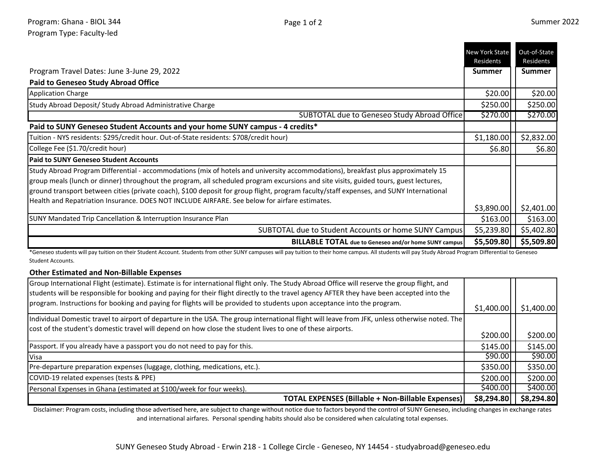- -

|                                                                                                                                                                                                                                                                                                                                                                                                                                                                                                                        | <b>New York State</b><br>Residents | Out-of-State<br>Residents |
|------------------------------------------------------------------------------------------------------------------------------------------------------------------------------------------------------------------------------------------------------------------------------------------------------------------------------------------------------------------------------------------------------------------------------------------------------------------------------------------------------------------------|------------------------------------|---------------------------|
| Program Travel Dates: June 3-June 29, 2022                                                                                                                                                                                                                                                                                                                                                                                                                                                                             | <b>Summer</b>                      | <b>Summer</b>             |
| <b>Paid to Geneseo Study Abroad Office</b>                                                                                                                                                                                                                                                                                                                                                                                                                                                                             |                                    |                           |
| <b>Application Charge</b>                                                                                                                                                                                                                                                                                                                                                                                                                                                                                              | \$20.00                            | \$20.00                   |
| Study Abroad Deposit/ Study Abroad Administrative Charge                                                                                                                                                                                                                                                                                                                                                                                                                                                               | \$250.00                           | \$250.00                  |
| SUBTOTAL due to Geneseo Study Abroad Office                                                                                                                                                                                                                                                                                                                                                                                                                                                                            | \$270.00                           | \$270.00                  |
| Paid to SUNY Geneseo Student Accounts and your home SUNY campus - 4 credits*                                                                                                                                                                                                                                                                                                                                                                                                                                           |                                    |                           |
| Tuition - NYS residents: \$295/credit hour. Out-of-State residents: \$708/credit hour)                                                                                                                                                                                                                                                                                                                                                                                                                                 | \$1,180.00                         | \$2,832.00                |
| College Fee (\$1.70/credit hour)                                                                                                                                                                                                                                                                                                                                                                                                                                                                                       | \$6.80                             | \$6.80                    |
| <b>Paid to SUNY Geneseo Student Accounts</b>                                                                                                                                                                                                                                                                                                                                                                                                                                                                           |                                    |                           |
| Study Abroad Program Differential - accommodations (mix of hotels and university accommodations), breakfast plus approximately 15<br>group meals (lunch or dinner) throughout the program, all scheduled program excursions and site visits, guided tours, guest lectures,<br>ground transport between cities (private coach), \$100 deposit for group flight, program faculty/staff expenses, and SUNY International<br>Health and Repatriation Insurance. DOES NOT INCLUDE AIRFARE. See below for airfare estimates. |                                    |                           |
|                                                                                                                                                                                                                                                                                                                                                                                                                                                                                                                        | \$3,890.00                         | \$2,401.00                |
| SUNY Mandated Trip Cancellation & Interruption Insurance Plan                                                                                                                                                                                                                                                                                                                                                                                                                                                          | \$163.00                           | \$163.00                  |
| SUBTOTAL due to Student Accounts or home SUNY Campus                                                                                                                                                                                                                                                                                                                                                                                                                                                                   | \$5,239.80                         | \$5,402.80                |
| <b>BILLABLE TOTAL</b> due to Geneseo and/or home SUNY campus                                                                                                                                                                                                                                                                                                                                                                                                                                                           | \$5,509.80                         | \$5,509.80                |

\*Geneseo students will pay tuition on their Student Account. Students from other SUNY campuses will pay tuition to their home campus. All students will pay Study Abroad Program Differential to Geneseo Student Accounts.

## **Other Estimated and Non-Billable Expenses**

| Personal Expenses in Ghana (estimated at \$100/week for four weeks).<br><b>TOTAL EXPENSES (Billable + Non-Billable Expenses)</b>                                                                                                                                     | \$400.00<br>\$8,294.80 | \$400.00<br>\$8,294.80 |
|----------------------------------------------------------------------------------------------------------------------------------------------------------------------------------------------------------------------------------------------------------------------|------------------------|------------------------|
| COVID-19 related expenses (tests & PPE)                                                                                                                                                                                                                              | \$200.00               | \$200.00               |
| Pre-departure preparation expenses (luggage, clothing, medications, etc.).                                                                                                                                                                                           | \$350.00               | \$350.00               |
| Visa                                                                                                                                                                                                                                                                 | \$90.00                | \$90.00                |
| Passport. If you already have a passport you do not need to pay for this.                                                                                                                                                                                            | \$145.00               | \$145.00               |
| cost of the student's domestic travel will depend on how close the student lives to one of these airports.                                                                                                                                                           | \$200.00               | \$200.00]              |
| Individual Domestic travel to airport of departure in the USA. The group international flight will leave from JFK, unless otherwise noted. The                                                                                                                       |                        |                        |
| students will be responsible for booking and paying for their flight directly to the travel agency AFTER they have been accepted into the<br>program. Instructions for booking and paying for flights will be provided to students upon acceptance into the program. | \$1,400.00             | \$1,400.00             |
| Group International Flight (estimate). Estimate is for international flight only. The Study Abroad Office will reserve the group flight, and                                                                                                                         |                        |                        |

Disclaimer: Program costs, including those advertised here, are subject to change without notice due to factors beyond the control of SUNY Geneseo, including changes in exchange rates and international airfares. Personal spending habits should also be considered when calculating total expenses.